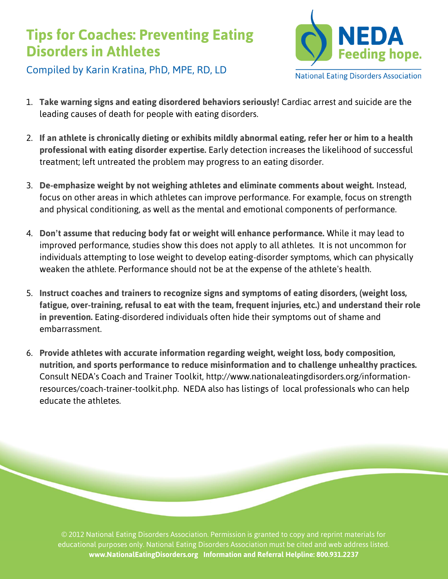## **Tips for Coaches: Preventing Eating Disorders in Athletes**



Compiled by Karin Kratina, PhD, MPE, RD, LD

- 1. **Take warning signs and eating disordered behaviors seriously!** Cardiac arrest and suicide are the leading causes of death for people with eating disorders.
- 2. **If an athlete is chronically dieting or exhibits mildly abnormal eating, refer her or him to a health professional with eating disorder expertise.** Early detection increases the likelihood of successful treatment; left untreated the problem may progress to an eating disorder.
- 3. **De-emphasize weight by not weighing athletes and eliminate comments about weight.** Instead, focus on other areas in which athletes can improve performance. For example, focus on strength and physical conditioning, as well as the mental and emotional components of performance.
- 4. **Don't assume that reducing body fat or weight will enhance performance.** While it may lead to improved performance, studies show this does not apply to all athletes. It is not uncommon for individuals attempting to lose weight to develop eating-disorder symptoms, which can physically weaken the athlete. Performance should not be at the expense of the athlete's health.
- 5. **Instruct coaches and trainers to recognize signs and symptoms of eating disorders, (weight loss, fatigue, over-training, refusal to eat with the team, frequent injuries, etc.) and understand their role in prevention.** Eating-disordered individuals often hide their symptoms out of shame and embarrassment.
- 6. **Provide athletes with accurate information regarding weight, weight loss, body composition, nutrition, and sports performance to reduce misinformation and to challenge unhealthy practices.**  Consult NEDA's Coach and Trainer Toolkit, http://www.nationaleatingdisorders.org/informationresources/coach-trainer-toolkit.php. NEDA also has listings of local professionals who can help educate the athletes.

© 2012 National Eating Disorders Association. Permission is granted to copy and reprint materials for educational purposes only. National Eating Disorders Association must be cited and web address listed. **www.NationalEatingDisorders.org Information and Referral Helpline: 800.931.2237**